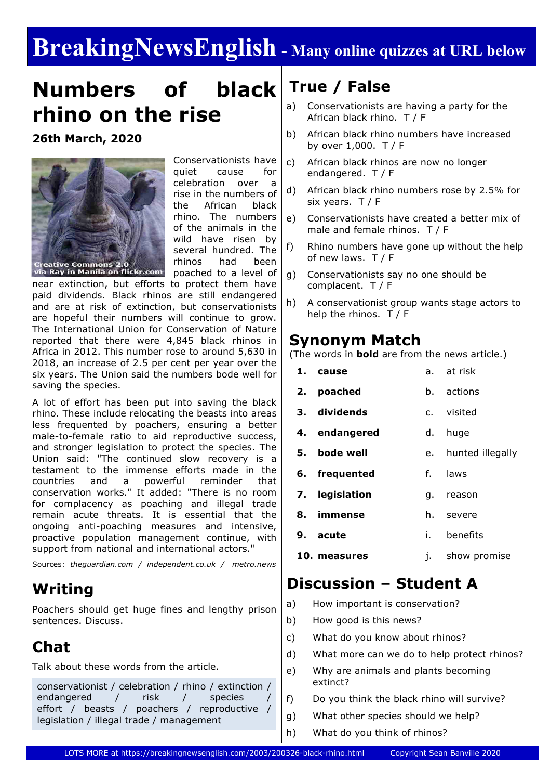# **BreakingNewsEnglish - Many online quizzes at URL below**

# **Numbers of black rhino on the rise**

**26th March, 2020**



Conservationists have quiet cause for celebration over a rise in the numbers of the African black rhino. The numbers of the animals in the wild have risen by several hundred. The rhinos had been poached to a level of

near extinction, but efforts to protect them have paid dividends. Black rhinos are still endangered and are at risk of extinction, but conservationists are hopeful their numbers will continue to grow. The International Union for Conservation of Nature reported that there were 4,845 black rhinos in Africa in 2012. This number rose to around 5,630 in 2018, an increase of 2.5 per cent per year over the six years. The Union said the numbers bode well for saving the species.

A lot of effort has been put into saving the black rhino. These include relocating the beasts into areas less frequented by poachers, ensuring a better male-to-female ratio to aid reproductive success, and stronger legislation to protect the species. The Union said: "The continued slow recovery is a testament to the immense efforts made in the countries and a powerful reminder that conservation works." It added: "There is no room for complacency as poaching and illegal trade remain acute threats. It is essential that the ongoing anti-poaching measures and intensive, proactive population management continue, with support from national and international actors."

Sources: *theguardian.com / independent.co.uk / metro.news*

# **Writing**

Poachers should get huge fines and lengthy prison sentences. Discuss.

# **Chat**

Talk about these words from the article.

conservationist / celebration / rhino / extinction / endangered / risk / species effort / beasts / poachers / reproductive / legislation / illegal trade / management

## **True / False**

- a) Conservationists are having a party for the African black rhino. T / F
- b) African black rhino numbers have increased by over 1,000. T / F
- c) African black rhinos are now no longer endangered. T / F
- d) African black rhino numbers rose by 2.5% for six years. T / F
- e) Conservationists have created a better mix of male and female rhinos. T / F
- f) Rhino numbers have gone up without the help of new laws. T / F
- g) Conservationists say no one should be complacent. T / F
- h) A conservationist group wants stage actors to help the rhinos.  $T / F$

### **Synonym Match**

(The words in **bold** are from the news article.)

|    | 1. cause       |    | a. at risk       |
|----|----------------|----|------------------|
|    | 2. poached     |    | b. actions       |
|    | 3. dividends   |    | c. visited       |
|    | 4. endangered  | d. | huge             |
| 5. | bode well      | e. | hunted illegally |
|    | 6. frequented  | f. | laws             |
|    | 7. legislation | q. | reason           |
| 8. | immense        | h. | severe           |

- **9. acute** i. benefits
- **10. measures** j. show promise

### **Discussion – Student A**

- a) How important is conservation?
- b) How good is this news?
- c) What do you know about rhinos?
- d) What more can we do to help protect rhinos?
- e) Why are animals and plants becoming extinct?
- f) Do you think the black rhino will survive?
- g) What other species should we help?
- h) What do you think of rhinos?